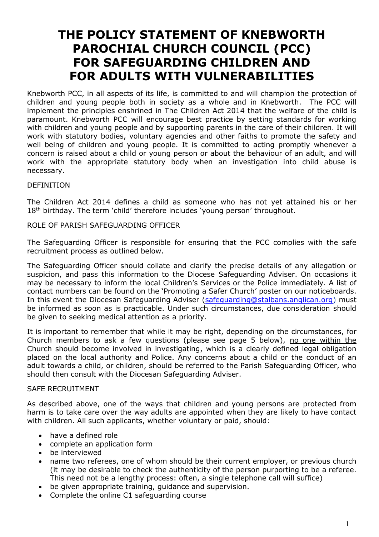## **THE POLICY STATEMENT OF KNEBWORTH PAROCHIAL CHURCH COUNCIL (PCC) FOR SAFEGUARDING CHILDREN AND FOR ADULTS WITH VULNERABILITIES**

Knebworth PCC, in all aspects of its life, is committed to and will champion the protection of children and young people both in society as a whole and in Knebworth. The PCC will implement the principles enshrined in The Children Act 2014 that the welfare of the child is paramount. Knebworth PCC will encourage best practice by setting standards for working with children and young people and by supporting parents in the care of their children. It will work with statutory bodies, voluntary agencies and other faiths to promote the safety and well being of children and young people. It is committed to acting promptly whenever a concern is raised about a child or young person or about the behaviour of an adult, and will work with the appropriate statutory body when an investigation into child abuse is necessary.

#### DEFINITION

The Children Act 2014 defines a child as someone who has not yet attained his or her 18<sup>th</sup> birthday. The term 'child' therefore includes 'young person' throughout.

#### ROLE OF PARISH SAFEGUARDING OFFICER

The Safeguarding Officer is responsible for ensuring that the PCC complies with the safe recruitment process as outlined below.

The Safeguarding Officer should collate and clarify the precise details of any allegation or suspicion, and pass this information to the Diocese Safeguarding Adviser. On occasions it may be necessary to inform the local Children's Services or the Police immediately. A list of contact numbers can be found on the 'Promoting a Safer Church' poster on our noticeboards. In this event the Diocesan Safeguarding Adviser [\(safeguarding@stalbans.anglican.org\)](mailto:safeguarding@stalbans.anglican.org) must be informed as soon as is practicable. Under such circumstances, due consideration should be given to seeking medical attention as a priority.

It is important to remember that while it may be right, depending on the circumstances, for Church members to ask a few questions (please see page 5 below), no one within the Church should become involved in investigating, which is a clearly defined legal obligation placed on the local authority and Police. Any concerns about a child or the conduct of an adult towards a child, or children, should be referred to the Parish Safeguarding Officer, who should then consult with the Diocesan Safeguarding Adviser.

#### SAFE RECRUITMENT

As described above, one of the ways that children and young persons are protected from harm is to take care over the way adults are appointed when they are likely to have contact with children. All such applicants, whether voluntary or paid, should:

- have a defined role
- complete an application form
- be interviewed
- name two referees, one of whom should be their current employer, or previous church (it may be desirable to check the authenticity of the person purporting to be a referee. This need not be a lengthy process: often, a single telephone call will suffice)
- be given appropriate training, guidance and supervision.
- Complete the online C1 safeguarding course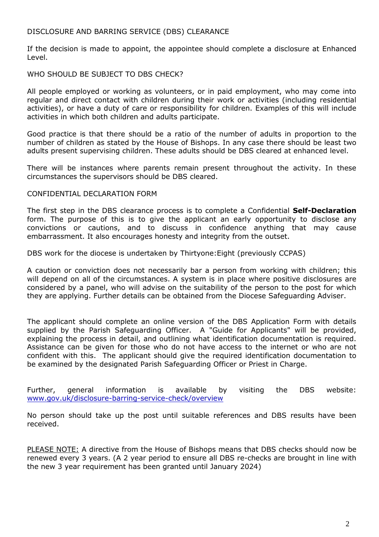#### DISCLOSURE AND BARRING SERVICE (DBS) CLEARANCE

If the decision is made to appoint, the appointee should complete a disclosure at Enhanced Level.

#### WHO SHOULD BE SUBJECT TO DBS CHECK?

All people employed or working as volunteers, or in paid employment, who may come into regular and direct contact with children during their work or activities (including residential activities), or have a duty of care or responsibility for children. Examples of this will include activities in which both children and adults participate.

Good practice is that there should be a ratio of the number of adults in proportion to the number of children as stated by the House of Bishops. In any case there should be least two adults present supervising children. These adults should be DBS cleared at enhanced level.

There will be instances where parents remain present throughout the activity. In these circumstances the supervisors should be DBS cleared.

#### CONFIDENTIAL DECLARATION FORM

The first step in the DBS clearance process is to complete a Confidential **Self-Declaration** form. The purpose of this is to give the applicant an early opportunity to disclose any convictions or cautions, and to discuss in confidence anything that may cause embarrassment. It also encourages honesty and integrity from the outset.

DBS work for the diocese is undertaken by Thirtyone:Eight (previously CCPAS)

A caution or conviction does not necessarily bar a person from working with children; this will depend on all of the circumstances. A system is in place where positive disclosures are considered by a panel, who will advise on the suitability of the person to the post for which they are applying. Further details can be obtained from the Diocese Safeguarding Adviser.

The applicant should complete an online version of the DBS Application Form with details supplied by the Parish Safeguarding Officer. A "Guide for Applicants" will be provided, explaining the process in detail, and outlining what identification documentation is required. Assistance can be given for those who do not have access to the internet or who are not confident with this. The applicant should give the required identification documentation to be examined by the designated Parish Safeguarding Officer or Priest in Charge.

Further, general information is available by visiting the DBS website: [www.gov.uk/disclosure-barring-service-check/overview](http://www.gov.uk/disclosure-barring-service-check/overview)

No person should take up the post until suitable references and DBS results have been received.

PLEASE NOTE: A directive from the House of Bishops means that DBS checks should now be renewed every 3 years. (A 2 year period to ensure all DBS re-checks are brought in line with the new 3 year requirement has been granted until January 2024)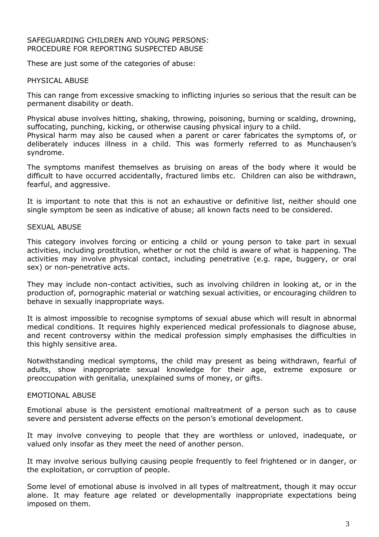#### SAFEGUARDING CHILDREN AND YOUNG PERSONS: PROCEDURE FOR REPORTING SUSPECTED ABUSE

These are just some of the categories of abuse:

#### PHYSICAL ABUSE

This can range from excessive smacking to inflicting injuries so serious that the result can be permanent disability or death.

Physical abuse involves hitting, shaking, throwing, poisoning, burning or scalding, drowning, suffocating, punching, kicking, or otherwise causing physical injury to a child. Physical harm may also be caused when a parent or carer fabricates the symptoms of, or deliberately induces illness in a child. This was formerly referred to as Munchausen's syndrome.

The symptoms manifest themselves as bruising on areas of the body where it would be difficult to have occurred accidentally, fractured limbs etc. Children can also be withdrawn, fearful, and aggressive.

It is important to note that this is not an exhaustive or definitive list, neither should one single symptom be seen as indicative of abuse; all known facts need to be considered.

#### SEXUAL ABUSE

This category involves forcing or enticing a child or young person to take part in sexual activities, including prostitution, whether or not the child is aware of what is happening. The activities may involve physical contact, including penetrative (e.g. rape, buggery, or oral sex) or non-penetrative acts.

They may include non-contact activities, such as involving children in looking at, or in the production of, pornographic material or watching sexual activities, or encouraging children to behave in sexually inappropriate ways.

It is almost impossible to recognise symptoms of sexual abuse which will result in abnormal medical conditions. It requires highly experienced medical professionals to diagnose abuse, and recent controversy within the medical profession simply emphasises the difficulties in this highly sensitive area.

Notwithstanding medical symptoms, the child may present as being withdrawn, fearful of adults, show inappropriate sexual knowledge for their age, extreme exposure or preoccupation with genitalia, unexplained sums of money, or gifts.

#### EMOTIONAL ABUSE

Emotional abuse is the persistent emotional maltreatment of a person such as to cause severe and persistent adverse effects on the person's emotional development.

It may involve conveying to people that they are worthless or unloved, inadequate, or valued only insofar as they meet the need of another person.

It may involve serious bullying causing people frequently to feel frightened or in danger, or the exploitation, or corruption of people.

Some level of emotional abuse is involved in all types of maltreatment, though it may occur alone. It may feature age related or developmentally inappropriate expectations being imposed on them.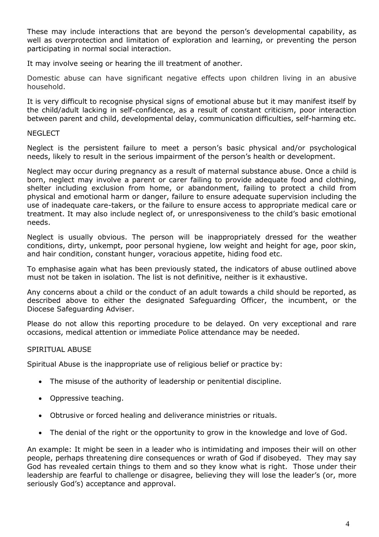These may include interactions that are beyond the person's developmental capability, as well as overprotection and limitation of exploration and learning, or preventing the person participating in normal social interaction.

It may involve seeing or hearing the ill treatment of another.

Domestic abuse can have significant negative effects upon children living in an abusive household.

It is very difficult to recognise physical signs of emotional abuse but it may manifest itself by the child/adult lacking in self-confidence, as a result of constant criticism, poor interaction between parent and child, developmental delay, communication difficulties, self-harming etc.

#### **NEGLECT**

Neglect is the persistent failure to meet a person's basic physical and/or psychological needs, likely to result in the serious impairment of the person's health or development.

Neglect may occur during pregnancy as a result of maternal substance abuse. Once a child is born, neglect may involve a parent or carer failing to provide adequate food and clothing, shelter including exclusion from home, or abandonment, failing to protect a child from physical and emotional harm or danger, failure to ensure adequate supervision including the use of inadequate care-takers, or the failure to ensure access to appropriate medical care or treatment. It may also include neglect of, or unresponsiveness to the child's basic emotional needs.

Neglect is usually obvious. The person will be inappropriately dressed for the weather conditions, dirty, unkempt, poor personal hygiene, low weight and height for age, poor skin, and hair condition, constant hunger, voracious appetite, hiding food etc.

To emphasise again what has been previously stated, the indicators of abuse outlined above must not be taken in isolation. The list is not definitive, neither is it exhaustive.

Any concerns about a child or the conduct of an adult towards a child should be reported, as described above to either the designated Safeguarding Officer, the incumbent, or the Diocese Safeguarding Adviser.

Please do not allow this reporting procedure to be delayed. On very exceptional and rare occasions, medical attention or immediate Police attendance may be needed.

#### SPIRITUAL ABUSE

Spiritual Abuse is the inappropriate use of religious belief or practice by:

- The misuse of the authority of leadership or penitential discipline.
- Oppressive teaching.
- Obtrusive or forced healing and deliverance ministries or rituals.
- The denial of the right or the opportunity to grow in the knowledge and love of God.

An example: It might be seen in a leader who is intimidating and imposes their will on other people, perhaps threatening dire consequences or wrath of God if disobeyed. They may say God has revealed certain things to them and so they know what is right. Those under their leadership are fearful to challenge or disagree, believing they will lose the leader's (or, more seriously God's) acceptance and approval.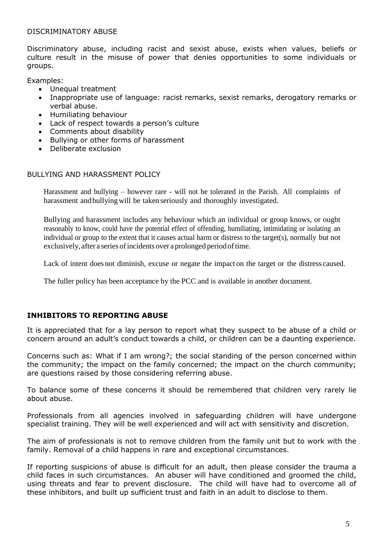#### DISCRIMINATORY ABUSE

Discriminatory abuse, including racist and sexist abuse, exists when values, beliefs or culture result in the misuse of power that denies opportunities to some individuals or groups.

Examples:

- Unequal treatment
- Inappropriate use of language: racist remarks, sexist remarks, derogatory remarks or verbal abuse.
- Humiliating behaviour
- Lack of respect towards a person's culture
- Comments about disability
- Bullying or other forms of harassment
- Deliberate exclusion

#### BULLYING AND HARASSMENT POLICY

Harassment and bullying – however rare - will not be tolerated in the Parish. All complaints of harassment and bullying will be taken seriously and thoroughly investigated.

Bullying and harassment includes any behaviour which an individual or group knows, or ought reasonably to know, could have the potential effect of offending, humiliating, intimidating or isolating an individual or group to the extent that it causes actual harm or distress to the target(s), normally but not exclusively, after a series of incidents over a prolonged period of time.

Lack of intent does not diminish, excuse or negate the impact on the target or the distress caused.

The fuller policy has been acceptance by the PCC and is available in another document.

#### **INHIBITORS TO REPORTING ABUSE**

It is appreciated that for a lay person to report what they suspect to be abuse of a child or concern around an adult's conduct towards a child, or children can be a daunting experience.

Concerns such as: What if I am wrong?; the social standing of the person concerned within the community; the impact on the family concerned; the impact on the church community; are questions raised by those considering referring abuse.

To balance some of these concerns it should be remembered that children very rarely lie about abuse.

Professionals from all agencies involved in safeguarding children will have undergone specialist training. They will be well experienced and will act with sensitivity and discretion.

The aim of professionals is not to remove children from the family unit but to work with the family. Removal of a child happens in rare and exceptional circumstances.

If reporting suspicions of abuse is difficult for an adult, then please consider the trauma a child faces in such circumstances. An abuser will have conditioned and groomed the child, using threats and fear to prevent disclosure. The child will have had to overcome all of these inhibitors, and built up sufficient trust and faith in an adult to disclose to them.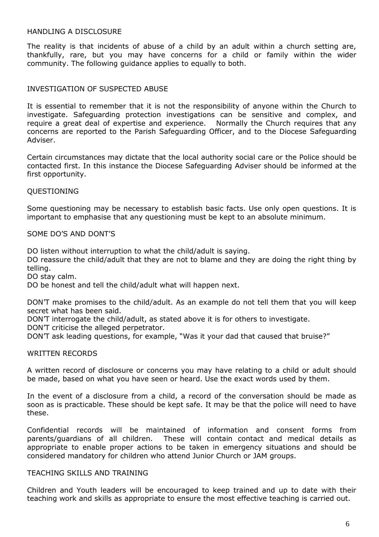#### HANDLING A DISCLOSURE

The reality is that incidents of abuse of a child by an adult within a church setting are, thankfully, rare, but you may have concerns for a child or family within the wider community. The following guidance applies to equally to both.

#### INVESTIGATION OF SUSPECTED ABUSE

It is essential to remember that it is not the responsibility of anyone within the Church to investigate. Safeguarding protection investigations can be sensitive and complex, and require a great deal of expertise and experience. Normally the Church requires that any concerns are reported to the Parish Safeguarding Officer, and to the Diocese Safeguarding Adviser.

Certain circumstances may dictate that the local authority social care or the Police should be contacted first. In this instance the Diocese Safeguarding Adviser should be informed at the first opportunity.

#### QUESTIONING

Some questioning may be necessary to establish basic facts. Use only open questions. It is important to emphasise that any questioning must be kept to an absolute minimum.

#### SOME DO'S AND DONT'S

DO listen without interruption to what the child/adult is saying.

DO reassure the child/adult that they are not to blame and they are doing the right thing by telling.

DO stay calm.

DO be honest and tell the child/adult what will happen next.

DON'T make promises to the child/adult. As an example do not tell them that you will keep secret what has been said.

DON'T interrogate the child/adult, as stated above it is for others to investigate.

DON'T criticise the alleged perpetrator.

DON'T ask leading questions, for example, "Was it your dad that caused that bruise?"

#### WRITTEN RECORDS

A written record of disclosure or concerns you may have relating to a child or adult should be made, based on what you have seen or heard. Use the exact words used by them.

In the event of a disclosure from a child, a record of the conversation should be made as soon as is practicable. These should be kept safe. It may be that the police will need to have these.

Confidential records will be maintained of information and consent forms from parents/guardians of all children. These will contain contact and medical details as appropriate to enable proper actions to be taken in emergency situations and should be considered mandatory for children who attend Junior Church or JAM groups.

#### TEACHING SKILLS AND TRAINING

Children and Youth leaders will be encouraged to keep trained and up to date with their teaching work and skills as appropriate to ensure the most effective teaching is carried out.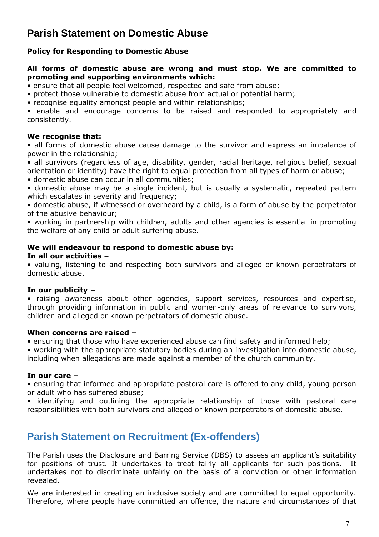## **Parish Statement on Domestic Abuse**

#### **Policy for Responding to Domestic Abuse**

#### **All forms of domestic abuse are wrong and must stop. We are committed to promoting and supporting environments which:**

• ensure that all people feel welcomed, respected and safe from abuse;

• protect those vulnerable to domestic abuse from actual or potential harm;

• recognise equality amongst people and within relationships;

• enable and encourage concerns to be raised and responded to appropriately and consistently.

#### **We recognise that:**

• all forms of domestic abuse cause damage to the survivor and express an imbalance of power in the relationship;

• all survivors (regardless of age, disability, gender, racial heritage, religious belief, sexual orientation or identity) have the right to equal protection from all types of harm or abuse;

• domestic abuse can occur in all communities;

• domestic abuse may be a single incident, but is usually a systematic, repeated pattern which escalates in severity and frequency;

• domestic abuse, if witnessed or overheard by a child, is a form of abuse by the perpetrator of the abusive behaviour;

• working in partnership with children, adults and other agencies is essential in promoting the welfare of any child or adult suffering abuse.

#### **We will endeavour to respond to domestic abuse by:**

#### **In all our activities –**

• valuing, listening to and respecting both survivors and alleged or known perpetrators of domestic abuse.

#### **In our publicity –**

• raising awareness about other agencies, support services, resources and expertise, through providing information in public and women-only areas of relevance to survivors, children and alleged or known perpetrators of domestic abuse.

#### **When concerns are raised –**

• ensuring that those who have experienced abuse can find safety and informed help;

• working with the appropriate statutory bodies during an investigation into domestic abuse, including when allegations are made against a member of the church community.

#### **In our care –**

• ensuring that informed and appropriate pastoral care is offered to any child, young person or adult who has suffered abuse;

• identifying and outlining the appropriate relationship of those with pastoral care responsibilities with both survivors and alleged or known perpetrators of domestic abuse.

## **Parish Statement on Recruitment (Ex-offenders)**

The Parish uses the Disclosure and Barring Service (DBS) to assess an applicant's suitability for positions of trust. It undertakes to treat fairly all applicants for such positions. It undertakes not to discriminate unfairly on the basis of a conviction or other information revealed.

We are interested in creating an inclusive society and are committed to equal opportunity. Therefore, where people have committed an offence, the nature and circumstances of that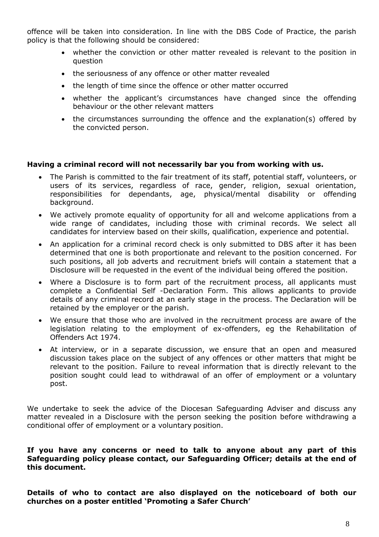offence will be taken into consideration. In line with the DBS Code of Practice, the parish policy is that the following should be considered:

- whether the conviction or other matter revealed is relevant to the position in question
- the seriousness of any offence or other matter revealed
- the length of time since the offence or other matter occurred
- whether the applicant's circumstances have changed since the offending behaviour or the other relevant matters
- the circumstances surrounding the offence and the explanation(s) offered by the convicted person.

#### **Having a criminal record will not necessarily bar you from working with us.**

- The Parish is committed to the fair treatment of its staff, potential staff, volunteers, or users of its services, regardless of race, gender, religion, sexual orientation, responsibilities for dependants, age, physical/mental disability or offending background.
- We actively promote equality of opportunity for all and welcome applications from a wide range of candidates, including those with criminal records. We select all candidates for interview based on their skills, qualification, experience and potential.
- An application for a criminal record check is only submitted to DBS after it has been determined that one is both proportionate and relevant to the position concerned. For such positions, all job adverts and recruitment briefs will contain a statement that a Disclosure will be requested in the event of the individual being offered the position.
- Where a Disclosure is to form part of the recruitment process, all applicants must complete a Confidential Self -Declaration Form. This allows applicants to provide details of any criminal record at an early stage in the process. The Declaration will be retained by the employer or the parish.
- We ensure that those who are involved in the recruitment process are aware of the legislation relating to the employment of ex-offenders, eg the Rehabilitation of Offenders Act 1974.
- At interview, or in a separate discussion, we ensure that an open and measured discussion takes place on the subject of any offences or other matters that might be relevant to the position. Failure to reveal information that is directly relevant to the position sought could lead to withdrawal of an offer of employment or a voluntary post.

We undertake to seek the advice of the Diocesan Safeguarding Adviser and discuss any matter revealed in a Disclosure with the person seeking the position before withdrawing a conditional offer of employment or a voluntary position.

#### **If you have any concerns or need to talk to anyone about any part of this Safeguarding policy please contact, our Safeguarding Officer; details at the end of this document.**

**Details of who to contact are also displayed on the noticeboard of both our churches on a poster entitled 'Promoting a Safer Church'**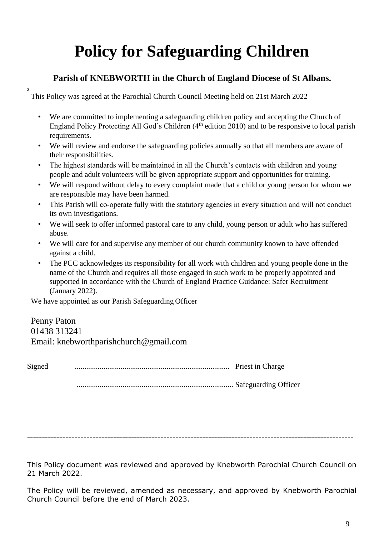# **Policy for Safeguarding Children**

### **Parish of KNEBWORTH in the Church of England Diocese of St Albans.**

This Policy was agreed at the Parochial Church Council Meeting held on 21st March 2022

- We are committed to implementing a safeguarding children policy and accepting the Church of England Policy Protecting All God's Children (4<sup>th</sup> edition 2010) and to be responsive to local parish requirements.
- We will review and endorse the safeguarding policies annually so that all members are aware of their responsibilities.
- The highest standards will be maintained in all the Church's contacts with children and young people and adult volunteers will be given appropriate support and opportunities for training.
- We will respond without delay to every complaint made that a child or young person for whom we are responsible may have been harmed.
- This Parish will co-operate fully with the statutory agencies in every situation and will not conduct its own investigations.
- We will seek to offer informed pastoral care to any child, young person or adult who has suffered abuse.
- We will care for and supervise any member of our church community known to have offended against a child.
- The PCC acknowledges its responsibility for all work with children and young people done in the name of the Church and requires all those engaged in such work to be properly appointed and supported in accordance with the Church of England Practice Guidance: Safer Recruitment (January 2022).

We have appointed as our Parish Safeguarding Officer

**2**

Penny Paton 01438 313241 Email: knebworthparishchurch@gmail.com

Signed ................................................................................. Priest in Charge

.................................................................................. Safeguarding Officer

--------------------------------------------------------------------------------------------------------------

This Policy document was reviewed and approved by Knebworth Parochial Church Council on 21 March 2022.

The Policy will be reviewed, amended as necessary, and approved by Knebworth Parochial Church Council before the end of March 2023.